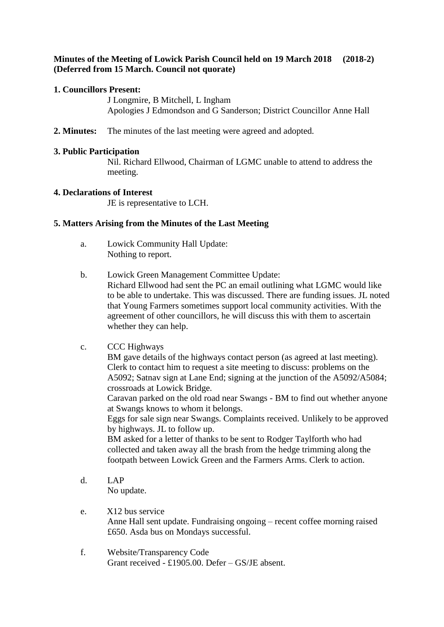# **Minutes of the Meeting of Lowick Parish Council held on 19 March 2018 (2018-2) (Deferred from 15 March. Council not quorate)**

# **1. Councillors Present:**

J Longmire, B Mitchell, L Ingham Apologies J Edmondson and G Sanderson; District Councillor Anne Hall

**2. Minutes:** The minutes of the last meeting were agreed and adopted.

## **3. Public Participation**

Nil. Richard Ellwood, Chairman of LGMC unable to attend to address the meeting.

## **4. Declarations of Interest**

JE is representative to LCH.

# **5. Matters Arising from the Minutes of the Last Meeting**

- a. Lowick Community Hall Update: Nothing to report.
- b. Lowick Green Management Committee Update:

Richard Ellwood had sent the PC an email outlining what LGMC would like to be able to undertake. This was discussed. There are funding issues. JL noted that Young Farmers sometimes support local community activities. With the agreement of other councillors, he will discuss this with them to ascertain whether they can help.

# c. CCC Highways

BM gave details of the highways contact person (as agreed at last meeting). Clerk to contact him to request a site meeting to discuss: problems on the A5092; Satnav sign at Lane End; signing at the junction of the A5092/A5084; crossroads at Lowick Bridge.

Caravan parked on the old road near Swangs - BM to find out whether anyone at Swangs knows to whom it belongs.

Eggs for sale sign near Swangs. Complaints received. Unlikely to be approved by highways. JL to follow up.

BM asked for a letter of thanks to be sent to Rodger Taylforth who had collected and taken away all the brash from the hedge trimming along the footpath between Lowick Green and the Farmers Arms. Clerk to action.

- d. LAP No update.
- e. X12 bus service Anne Hall sent update. Fundraising ongoing – recent coffee morning raised £650. Asda bus on Mondays successful.
- f. Website/Transparency Code Grant received - £1905.00. Defer – GS/JE absent.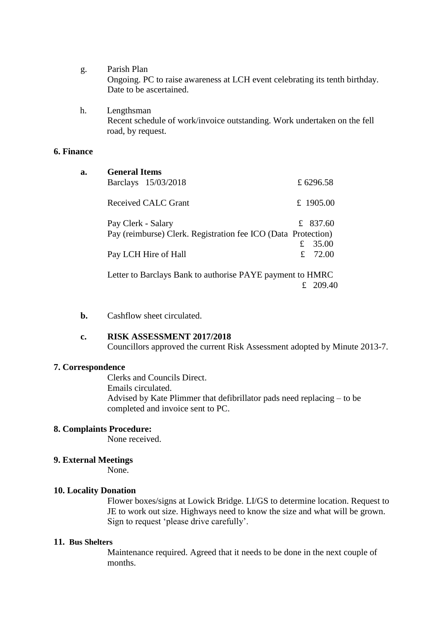- g. Parish Plan Ongoing. PC to raise awareness at LCH event celebrating its tenth birthday. Date to be ascertained.
- h. Lengthsman Recent schedule of work/invoice outstanding. Work undertaken on the fell road, by request.

## **6. Finance**

| a. | <b>General Items</b>                                          |             |           |
|----|---------------------------------------------------------------|-------------|-----------|
|    | Barclays 15/03/2018                                           |             | £ 6296.58 |
|    | Received CALC Grant                                           |             | £ 1905.00 |
|    | Pay Clerk - Salary                                            |             | £ 837.60  |
|    | Pay (reimburse) Clerk. Registration fee ICO (Data Protection) |             |           |
|    |                                                               | $f_{\cdot}$ | 35.00     |
|    | Pay LCH Hire of Hall                                          |             | £ $72.00$ |
|    | Letter to Barclays Bank to authorise PAYE payment to HMRC     |             |           |
|    |                                                               |             | 209.40    |

**b.** Cashflow sheet circulated.

## **c. RISK ASSESSMENT 2017/2018**

Councillors approved the current Risk Assessment adopted by Minute 2013-7.

#### **7. Correspondence**

Clerks and Councils Direct. Emails circulated. Advised by Kate Plimmer that defibrillator pads need replacing – to be completed and invoice sent to PC.

#### **8. Complaints Procedure:**

None received.

## **9. External Meetings**

None.

## **10. Locality Donation**

Flower boxes/signs at Lowick Bridge. LI/GS to determine location. Request to JE to work out size. Highways need to know the size and what will be grown. Sign to request 'please drive carefully'.

#### **11. Bus Shelters**

Maintenance required. Agreed that it needs to be done in the next couple of months.